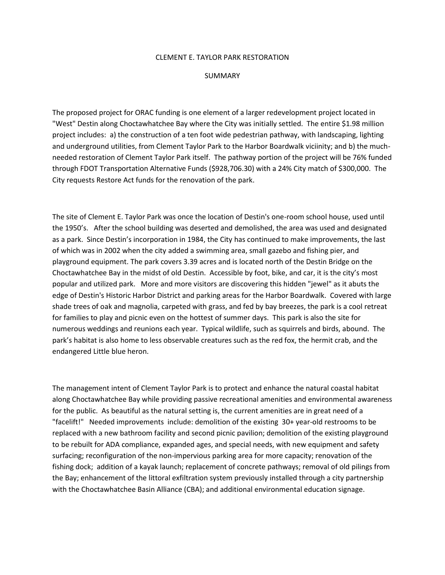## CLEMENT E. TAYLOR PARK RESTORATION

## SUMMARY

The proposed project for ORAC funding is one element of a larger redevelopment project located in "West" Destin along Choctawhatchee Bay where the City was initially settled. The entire \$1.98 million project includes: a) the construction of a ten foot wide pedestrian pathway, with landscaping, lighting and underground utilities, from Clement Taylor Park to the Harbor Boardwalk viciinity; and b) the muchneeded restoration of Clement Taylor Park itself. The pathway portion of the project will be 76% funded through FDOT Transportation Alternative Funds (\$928,706.30) with a 24% City match of \$300,000. The City requests Restore Act funds for the renovation of the park.

The site of Clement E. Taylor Park was once the location of Destin's one-room school house, used until the 1950's. After the school building was deserted and demolished, the area was used and designated as a park. Since Destin's incorporation in 1984, the City has continued to make improvements, the last of which was in 2002 when the city added a swimming area, small gazebo and fishing pier, and playground equipment. The park covers 3.39 acres and is located north of the Destin Bridge on the Choctawhatchee Bay in the midst of old Destin. Accessible by foot, bike, and car, it is the city's most popular and utilized park. More and more visitors are discovering this hidden "jewel" as it abuts the edge of Destin's Historic Harbor District and parking areas for the Harbor Boardwalk. Covered with large shade trees of oak and magnolia, carpeted with grass, and fed by bay breezes, the park is a cool retreat for families to play and picnic even on the hottest of summer days. This park is also the site for numerous weddings and reunions each year. Typical wildlife, such as squirrels and birds, abound. The park's habitat is also home to less observable creatures such as the red fox, the hermit crab, and the endangered Little blue heron.

The management intent of Clement Taylor Park is to protect and enhance the natural coastal habitat along Choctawhatchee Bay while providing passive recreational amenities and environmental awareness for the public. As beautiful as the natural setting is, the current amenities are in great need of a "facelift!" Needed improvements include: demolition of the existing 30+ year-old restrooms to be replaced with a new bathroom facility and second picnic pavilion; demolition of the existing playground to be rebuilt for ADA compliance, expanded ages, and special needs, with new equipment and safety surfacing; reconfiguration of the non-impervious parking area for more capacity; renovation of the fishing dock; addition of a kayak launch; replacement of concrete pathways; removal of old pilings from the Bay; enhancement of the littoral exfiltration system previously installed through a city partnership with the Choctawhatchee Basin Alliance (CBA); and additional environmental education signage.